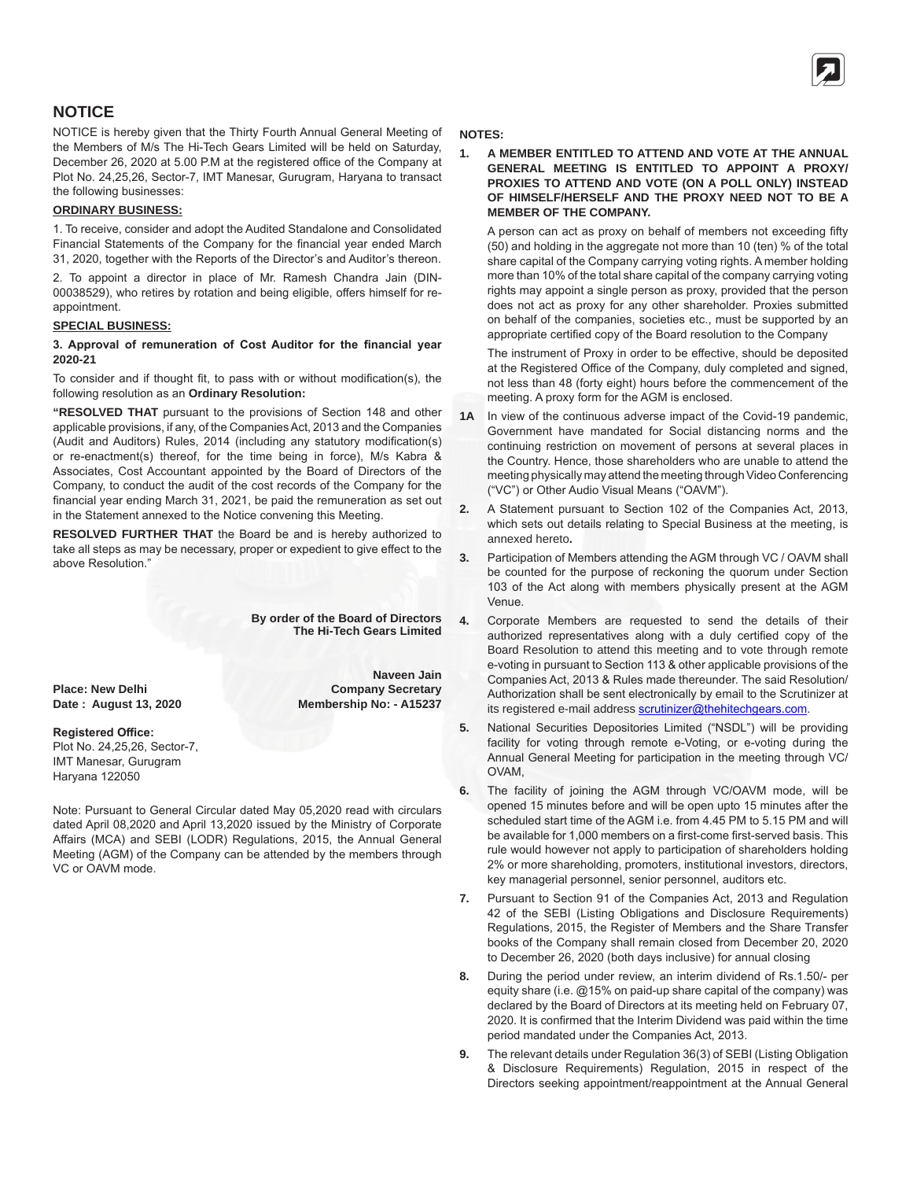# **NOTICE**

NOTICE is hereby given that the Thirty Fourth Annual General Meeting of the Members of M/s The Hi-Tech Gears Limited will be held on Saturday, December 26, 2020 at 5.00 P.M at the registered office of the Company at Plot No. 24,25,26, Sector-7, IMT Manesar, Gurugram, Haryana to transact the following businesses:

#### **ORDINARY BUSINESS:**

1. To receive, consider and adopt the Audited Standalone and Consolidated Financial Statements of the Company for the financial year ended March 31, 2020, together with the Reports of the Director's and Auditor's thereon.

2. To appoint a director in place of Mr. Ramesh Chandra Jain (DIN-00038529), who retires by rotation and being eligible, offers himself for reappointment.

#### **SPECIAL BUSINESS:**

#### **3. Approval of remuneration of Cost Auditor for the financial year 2020-21**

To consider and if thought fit, to pass with or without modification(s), the following resolution as an **Ordinary Resolution:**

**"RESOLVED THAT** pursuant to the provisions of Section 148 and other applicable provisions, if any, of the Companies Act, 2013 and the Companies (Audit and Auditors) Rules, 2014 (including any statutory modification(s) or re-enactment(s) thereof, for the time being in force), M/s Kabra & Associates, Cost Accountant appointed by the Board of Directors of the Company, to conduct the audit of the cost records of the Company for the financial year ending March 31, 2021, be paid the remuneration as set out in the Statement annexed to the Notice convening this Meeting.

**RESOLVED FURTHER THAT** the Board be and is hereby authorized to take all steps as may be necessary, proper or expedient to give effect to the above Resolution."

> **By order of the Board of Directors The Hi-Tech Gears Limited**

> > **Naveen Jain Company Secretary Membership No: - A15237**

**Place: New Delhi Date : August 13, 2020**

#### **Registered Office:**

Plot No. 24,25,26, Sector-7, IMT Manesar, Gurugram Haryana 122050

Note: Pursuant to General Circular dated May 05,2020 read with circulars dated April 08,2020 and April 13,2020 issued by the Ministry of Corporate Affairs (MCA) and SEBI (LODR) Regulations, 2015, the Annual General Meeting (AGM) of the Company can be attended by the members through VC or OAVM mode.

#### **NOTES:**

**1. A MEMBER ENTITLED TO ATTEND AND VOTE AT THE ANNUAL GENERAL MEETING IS ENTITLED TO APPOINT A PROXY/ PROXIES TO ATTEND AND VOTE (ON A POLL ONLY) INSTEAD OF HIMSELF/HERSELF AND THE PROXY NEED NOT TO BE A MEMBER OF THE COMPANY.**

A person can act as proxy on behalf of members not exceeding fifty (50) and holding in the aggregate not more than 10 (ten) % of the total share capital of the Company carrying voting rights. A member holding more than 10% of the total share capital of the company carrying voting rights may appoint a single person as proxy, provided that the person does not act as proxy for any other shareholder. Proxies submitted on behalf of the companies, societies etc., must be supported by an appropriate certified copy of the Board resolution to the Company

The instrument of Proxy in order to be effective, should be deposited at the Registered Office of the Company, duly completed and signed, not less than 48 (forty eight) hours before the commencement of the meeting. A proxy form for the AGM is enclosed.

- **1A** In view of the continuous adverse impact of the Covid-19 pandemic, Government have mandated for Social distancing norms and the continuing restriction on movement of persons at several places in the Country. Hence, those shareholders who are unable to attend the meeting physically may attend the meeting through Video Conferencing ("VC") or Other Audio Visual Means ("OAVM").
- **2.** A Statement pursuant to Section 102 of the Companies Act, 2013, which sets out details relating to Special Business at the meeting, is annexed hereto**.**
- **3.** Participation of Members attending the AGM through VC / OAVM shall be counted for the purpose of reckoning the quorum under Section 103 of the Act along with members physically present at the AGM Venue.
- **4.** Corporate Members are requested to send the details of their authorized representatives along with a duly certified copy of the Board Resolution to attend this meeting and to vote through remote e-voting in pursuant to Section 113 & other applicable provisions of the Companies Act, 2013 & Rules made thereunder. The said Resolution/ Authorization shall be sent electronically by email to the Scrutinizer at its registered e-mail address scrutinizer@thehitechgears.com.
- **5.** National Securities Depositories Limited ("NSDL") will be providing facility for voting through remote e-Voting, or e-voting during the Annual General Meeting for participation in the meeting through VC/ OVAM,
- **6.** The facility of joining the AGM through VC/OAVM mode, will be opened 15 minutes before and will be open upto 15 minutes after the scheduled start time of the AGM i.e. from 4.45 PM to 5.15 PM and will be available for 1,000 members on a first-come first-served basis. This rule would however not apply to participation of shareholders holding 2% or more shareholding, promoters, institutional investors, directors, key managerial personnel, senior personnel, auditors etc.
- **7.** Pursuant to Section 91 of the Companies Act, 2013 and Regulation 42 of the SEBI (Listing Obligations and Disclosure Requirements) Regulations, 2015, the Register of Members and the Share Transfer books of the Company shall remain closed from December 20, 2020 to December 26, 2020 (both days inclusive) for annual closing
- **8.** During the period under review, an interim dividend of Rs.1.50/- per equity share (i.e. @15% on paid-up share capital of the company) was declared by the Board of Directors at its meeting held on February 07, 2020. It is confirmed that the Interim Dividend was paid within the time period mandated under the Companies Act, 2013.
- **9.** The relevant details under Regulation 36(3) of SEBI (Listing Obligation & Disclosure Requirements) Regulation, 2015 in respect of the Directors seeking appointment/reappointment at the Annual General

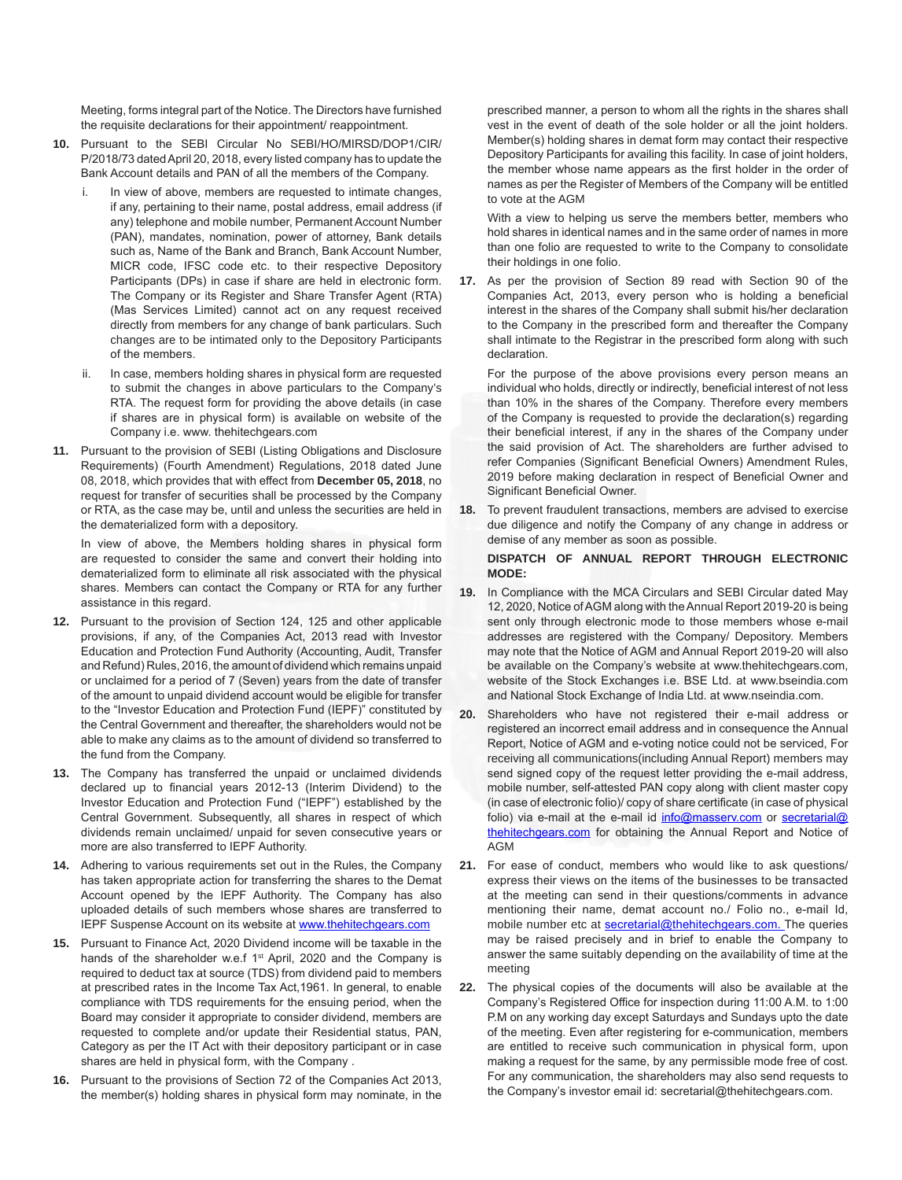Meeting, forms integral part of the Notice. The Directors have furnished the requisite declarations for their appointment/ reappointment.

- **10.** Pursuant to the SEBI Circular No SEBI/HO/MIRSD/DOP1/CIR/ P/2018/73 dated April 20, 2018, every listed company has to update the Bank Account details and PAN of all the members of the Company.
	- In view of above, members are requested to intimate changes, if any, pertaining to their name, postal address, email address (if any) telephone and mobile number, Permanent Account Number (PAN), mandates, nomination, power of attorney, Bank details such as, Name of the Bank and Branch, Bank Account Number, MICR code, IFSC code etc. to their respective Depository Participants (DPs) in case if share are held in electronic form. The Company or its Register and Share Transfer Agent (RTA) (Mas Services Limited) cannot act on any request received directly from members for any change of bank particulars. Such changes are to be intimated only to the Depository Participants of the members.
	- In case, members holding shares in physical form are requested to submit the changes in above particulars to the Company's RTA. The request form for providing the above details (in case if shares are in physical form) is available on website of the Company i.e. www. thehitechgears.com
- **11.** Pursuant to the provision of SEBI (Listing Obligations and Disclosure Requirements) (Fourth Amendment) Regulations, 2018 dated June 08, 2018, which provides that with effect from **December 05, 2018**, no request for transfer of securities shall be processed by the Company or RTA, as the case may be, until and unless the securities are held in the dematerialized form with a depository.

In view of above, the Members holding shares in physical form are requested to consider the same and convert their holding into dematerialized form to eliminate all risk associated with the physical shares. Members can contact the Company or RTA for any further assistance in this regard.

- **12.** Pursuant to the provision of Section 124, 125 and other applicable provisions, if any, of the Companies Act, 2013 read with Investor Education and Protection Fund Authority (Accounting, Audit, Transfer and Refund) Rules, 2016, the amount of dividend which remains unpaid or unclaimed for a period of 7 (Seven) years from the date of transfer of the amount to unpaid dividend account would be eligible for transfer to the "Investor Education and Protection Fund (IEPF)" constituted by the Central Government and thereafter, the shareholders would not be able to make any claims as to the amount of dividend so transferred to the fund from the Company.
- **13.** The Company has transferred the unpaid or unclaimed dividends declared up to financial years 2012-13 (Interim Dividend) to the Investor Education and Protection Fund ("IEPF") established by the Central Government. Subsequently, all shares in respect of which dividends remain unclaimed/ unpaid for seven consecutive years or more are also transferred to IEPF Authority.
- **14.** Adhering to various requirements set out in the Rules, the Company has taken appropriate action for transferring the shares to the Demat Account opened by the IEPF Authority. The Company has also uploaded details of such members whose shares are transferred to IEPF Suspense Account on its website at www.thehitechgears.com
- **15.** Pursuant to Finance Act, 2020 Dividend income will be taxable in the hands of the shareholder w.e.f 1<sup>st</sup> April, 2020 and the Company is required to deduct tax at source (TDS) from dividend paid to members at prescribed rates in the Income Tax Act,1961. In general, to enable compliance with TDS requirements for the ensuing period, when the Board may consider it appropriate to consider dividend, members are requested to complete and/or update their Residential status, PAN, Category as per the IT Act with their depository participant or in case shares are held in physical form, with the Company .
- **16.** Pursuant to the provisions of Section 72 of the Companies Act 2013, the member(s) holding shares in physical form may nominate, in the

prescribed manner, a person to whom all the rights in the shares shall vest in the event of death of the sole holder or all the joint holders. Member(s) holding shares in demat form may contact their respective Depository Participants for availing this facility. In case of joint holders, the member whose name appears as the first holder in the order of names as per the Register of Members of the Company will be entitled to vote at the AGM

With a view to helping us serve the members better, members who hold shares in identical names and in the same order of names in more than one folio are requested to write to the Company to consolidate their holdings in one folio.

**17.** As per the provision of Section 89 read with Section 90 of the Companies Act, 2013, every person who is holding a beneficial interest in the shares of the Company shall submit his/her declaration to the Company in the prescribed form and thereafter the Company shall intimate to the Registrar in the prescribed form along with such declaration.

For the purpose of the above provisions every person means an individual who holds, directly or indirectly, beneficial interest of not less than 10% in the shares of the Company. Therefore every members of the Company is requested to provide the declaration(s) regarding their beneficial interest, if any in the shares of the Company under the said provision of Act. The shareholders are further advised to refer Companies (Significant Beneficial Owners) Amendment Rules, 2019 before making declaration in respect of Beneficial Owner and Significant Beneficial Owner.

**18.** To prevent fraudulent transactions, members are advised to exercise due diligence and notify the Company of any change in address or demise of any member as soon as possible.

#### **DISPATCH OF ANNUAL REPORT THROUGH ELECTRONIC MODE:**

- **19.** In Compliance with the MCA Circulars and SEBI Circular dated May 12, 2020, Notice of AGM along with the Annual Report 2019-20 is being sent only through electronic mode to those members whose e-mail addresses are registered with the Company/ Depository. Members may note that the Notice of AGM and Annual Report 2019-20 will also be available on the Company's website at www.thehitechgears.com, website of the Stock Exchanges i.e. BSE Ltd. at www.bseindia.com and National Stock Exchange of India Ltd. at www.nseindia.com.
- **20.** Shareholders who have not registered their e-mail address or registered an incorrect email address and in consequence the Annual Report, Notice of AGM and e-voting notice could not be serviced, For receiving all communications(including Annual Report) members may send signed copy of the request letter providing the e-mail address, mobile number, self-attested PAN copy along with client master copy (in case of electronic folio)/ copy of share certificate (in case of physical folio) via e-mail at the e-mail id info@masserv.com or secretarial@ thehitechgears.com for obtaining the Annual Report and Notice of AGM
- **21.** For ease of conduct, members who would like to ask questions/ express their views on the items of the businesses to be transacted at the meeting can send in their questions/comments in advance mentioning their name, demat account no./ Folio no., e-mail Id, mobile number etc at secretarial@thehitechgears.com. The queries may be raised precisely and in brief to enable the Company to answer the same suitably depending on the availability of time at the meeting
- **22.** The physical copies of the documents will also be available at the Company's Registered Office for inspection during 11:00 A.M. to 1:00 P.M on any working day except Saturdays and Sundays upto the date of the meeting. Even after registering for e-communication, members are entitled to receive such communication in physical form, upon making a request for the same, by any permissible mode free of cost. For any communication, the shareholders may also send requests to the Company's investor email id: secretarial@thehitechgears.com.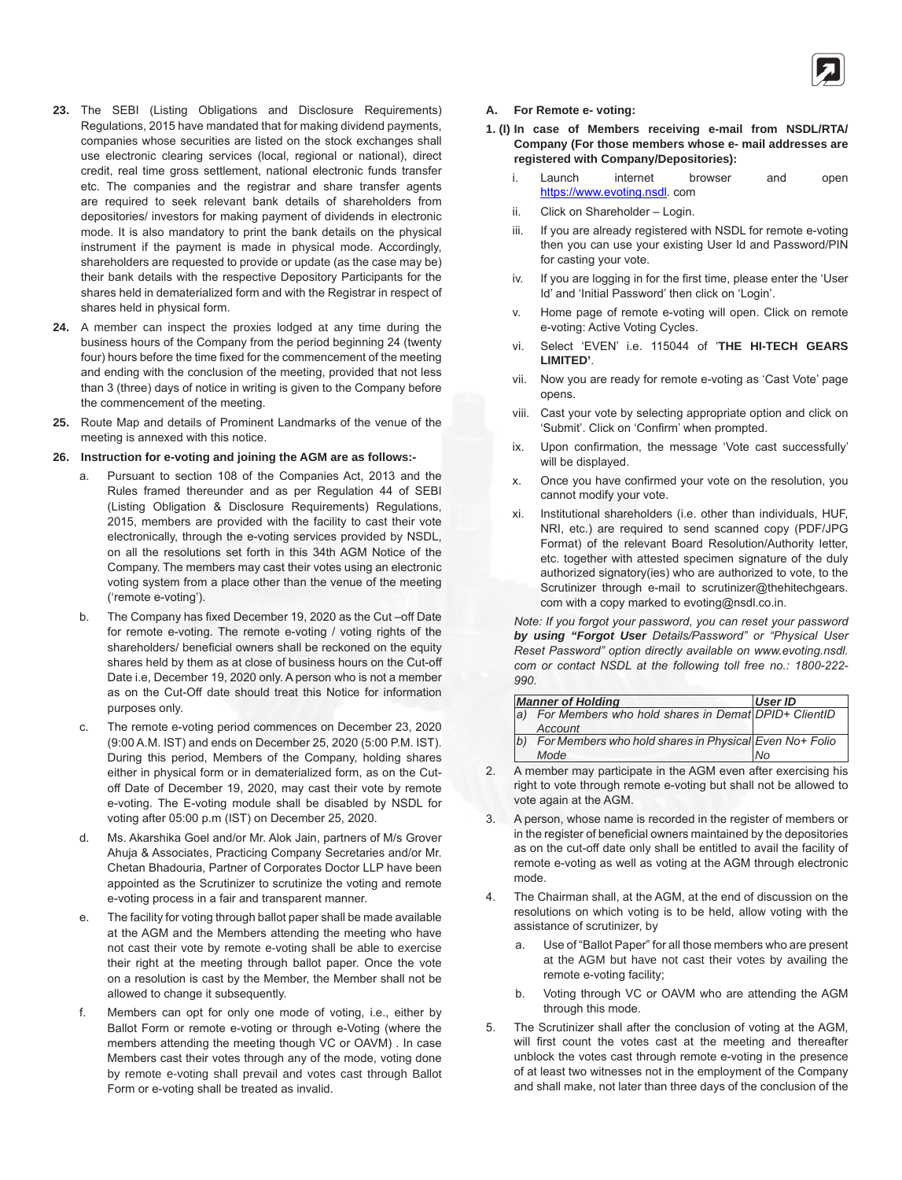

- **23.** The SEBI (Listing Obligations and Disclosure Requirements) Regulations, 2015 have mandated that for making dividend payments, companies whose securities are listed on the stock exchanges shall use electronic clearing services (local, regional or national), direct credit, real time gross settlement, national electronic funds transfer etc. The companies and the registrar and share transfer agents are required to seek relevant bank details of shareholders from depositories/ investors for making payment of dividends in electronic mode. It is also mandatory to print the bank details on the physical instrument if the payment is made in physical mode. Accordingly, shareholders are requested to provide or update (as the case may be) their bank details with the respective Depository Participants for the shares held in dematerialized form and with the Registrar in respect of shares held in physical form.
- **24.** A member can inspect the proxies lodged at any time during the business hours of the Company from the period beginning 24 (twenty four) hours before the time fixed for the commencement of the meeting and ending with the conclusion of the meeting, provided that not less than 3 (three) days of notice in writing is given to the Company before the commencement of the meeting.
- **25.** Route Map and details of Prominent Landmarks of the venue of the meeting is annexed with this notice.

#### **26. Instruction for e-voting and joining the AGM are as follows:-**

- a. Pursuant to section 108 of the Companies Act, 2013 and the Rules framed thereunder and as per Regulation 44 of SEBI (Listing Obligation & Disclosure Requirements) Regulations, 2015, members are provided with the facility to cast their vote electronically, through the e-voting services provided by NSDL, on all the resolutions set forth in this 34th AGM Notice of the Company. The members may cast their votes using an electronic voting system from a place other than the venue of the meeting ('remote e-voting').
- b. The Company has fixed December 19, 2020 as the Cut –off Date for remote e-voting. The remote e-voting / voting rights of the shareholders/ beneficial owners shall be reckoned on the equity shares held by them as at close of business hours on the Cut-off Date i.e, December 19, 2020 only. A person who is not a member as on the Cut-Off date should treat this Notice for information purposes only.
- c. The remote e-voting period commences on December 23, 2020 (9:00 A.M. IST) and ends on December 25, 2020 (5:00 P.M. IST). During this period, Members of the Company, holding shares either in physical form or in dematerialized form, as on the Cutoff Date of December 19, 2020, may cast their vote by remote e-voting. The E-voting module shall be disabled by NSDL for voting after 05:00 p.m (IST) on December 25, 2020.
- d. Ms. Akarshika Goel and/or Mr. Alok Jain, partners of M/s Grover Ahuja & Associates, Practicing Company Secretaries and/or Mr. Chetan Bhadouria, Partner of Corporates Doctor LLP have been appointed as the Scrutinizer to scrutinize the voting and remote e-voting process in a fair and transparent manner.
- e. The facility for voting through ballot paper shall be made available at the AGM and the Members attending the meeting who have not cast their vote by remote e-voting shall be able to exercise their right at the meeting through ballot paper. Once the vote on a resolution is cast by the Member, the Member shall not be allowed to change it subsequently.
- f. Members can opt for only one mode of voting, i.e., either by Ballot Form or remote e-voting or through e-Voting (where the members attending the meeting though VC or OAVM) . In case Members cast their votes through any of the mode, voting done by remote e-voting shall prevail and votes cast through Ballot Form or e-voting shall be treated as invalid.

#### **A. For Remote e- voting:**

- **1. (I) In case of Members receiving e-mail from NSDL/RTA/ Company (For those members whose e- mail addresses are registered with Company/Depositories):**
	- i. Launch internet browser and open https://www.evoting.nsdl. com
	- ii. Click on Shareholder Login.
	- iii. If you are already registered with NSDL for remote e-voting then you can use your existing User Id and Password/PIN for casting your vote.
	- iv. If you are logging in for the first time, please enter the 'User Id' and 'Initial Password' then click on 'Login'.
	- v. Home page of remote e-voting will open. Click on remote e-voting: Active Voting Cycles.
	- vi. Select 'EVEN' i.e. 115044 of '**THE HI-TECH GEARS LIMITED'**.
	- vii. Now you are ready for remote e-voting as 'Cast Vote' page opens.
	- viii. Cast your vote by selecting appropriate option and click on 'Submit'. Click on 'Confirm' when prompted.
	- ix. Upon confirmation, the message 'Vote cast successfully' will be displayed.
	- x. Once you have confirmed your vote on the resolution, you cannot modify your vote.
	- xi. Institutional shareholders (i.e. other than individuals, HUF, NRI, etc.) are required to send scanned copy (PDF/JPG Format) of the relevant Board Resolution/Authority letter, etc. together with attested specimen signature of the duly authorized signatory(ies) who are authorized to vote, to the Scrutinizer through e-mail to scrutinizer@thehitechgears. com with a copy marked to evoting@nsdl.co.in.

*Note: If you forgot your password, you can reset your password by using "Forgot User Details/Password" or "Physical User Reset Password" option directly available on www.evoting.nsdl. com or contact NSDL at the following toll free no.: 1800-222- 990.*

|             | <b>Manner of Holding</b>                               | User ID |
|-------------|--------------------------------------------------------|---------|
| $ a\rangle$ | For Members who hold shares in Demat DPID+ ClientID    |         |
|             | Account                                                |         |
| (b)         | For Members who hold shares in Physical Even No+ Folio |         |
|             | Mode                                                   | l No    |

- 2. A member may participate in the AGM even after exercising his right to vote through remote e-voting but shall not be allowed to vote again at the AGM.
- 3. A person, whose name is recorded in the register of members or in the register of beneficial owners maintained by the depositories as on the cut-off date only shall be entitled to avail the facility of remote e-voting as well as voting at the AGM through electronic mode.
- 4. The Chairman shall, at the AGM, at the end of discussion on the resolutions on which voting is to be held, allow voting with the assistance of scrutinizer, by
	- a. Use of "Ballot Paper" for all those members who are present at the AGM but have not cast their votes by availing the remote e-voting facility;
	- b. Voting through VC or OAVM who are attending the AGM through this mode.
- 5. The Scrutinizer shall after the conclusion of voting at the AGM, will first count the votes cast at the meeting and thereafter unblock the votes cast through remote e-voting in the presence of at least two witnesses not in the employment of the Company and shall make, not later than three days of the conclusion of the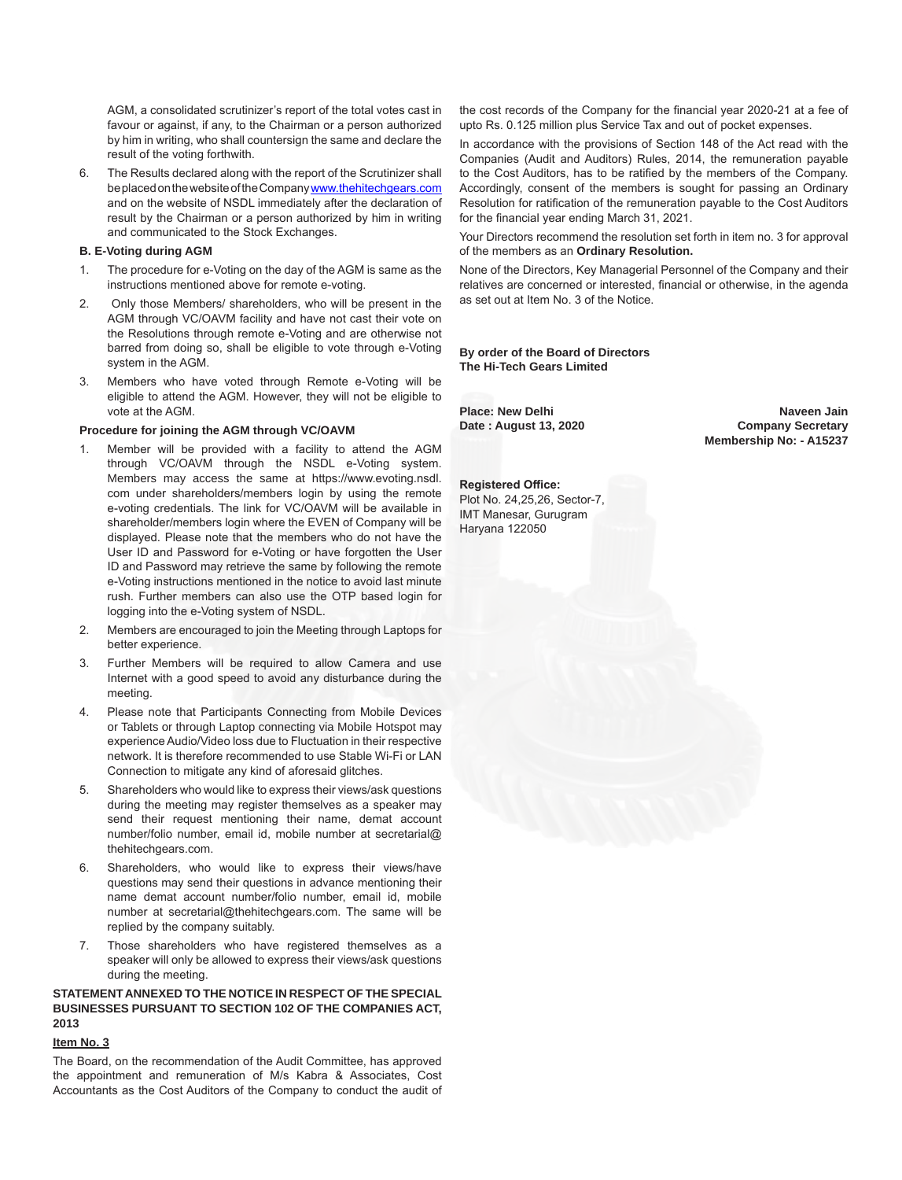AGM, a consolidated scrutinizer's report of the total votes cast in favour or against, if any, to the Chairman or a person authorized by him in writing, who shall countersign the same and declare the result of the voting forthwith.

6. The Results declared along with the report of the Scrutinizer shall be placed on the website of the Company www.thehitechgears.com and on the website of NSDL immediately after the declaration of result by the Chairman or a person authorized by him in writing and communicated to the Stock Exchanges.

#### **B. E-Voting during AGM**

- 1. The procedure for e-Voting on the day of the AGM is same as the instructions mentioned above for remote e-voting.
- 2. Only those Members/ shareholders, who will be present in the AGM through VC/OAVM facility and have not cast their vote on the Resolutions through remote e-Voting and are otherwise not barred from doing so, shall be eligible to vote through e-Voting system in the AGM.
- 3. Members who have voted through Remote e-Voting will be eligible to attend the AGM. However, they will not be eligible to vote at the AGM.

#### **Procedure for joining the AGM through VC/OAVM**

- 1. Member will be provided with a facility to attend the AGM through VC/OAVM through the NSDL e-Voting system. Members may access the same at https://www.evoting.nsdl. com under shareholders/members login by using the remote e-voting credentials. The link for VC/OAVM will be available in shareholder/members login where the EVEN of Company will be displayed. Please note that the members who do not have the User ID and Password for e-Voting or have forgotten the User ID and Password may retrieve the same by following the remote e-Voting instructions mentioned in the notice to avoid last minute rush. Further members can also use the OTP based login for logging into the e-Voting system of NSDL.
- 2. Members are encouraged to join the Meeting through Laptops for better experience.
- 3. Further Members will be required to allow Camera and use Internet with a good speed to avoid any disturbance during the meeting.
- 4. Please note that Participants Connecting from Mobile Devices or Tablets or through Laptop connecting via Mobile Hotspot may experience Audio/Video loss due to Fluctuation in their respective network. It is therefore recommended to use Stable Wi-Fi or LAN Connection to mitigate any kind of aforesaid glitches.
- 5. Shareholders who would like to express their views/ask questions during the meeting may register themselves as a speaker may send their request mentioning their name, demat account number/folio number, email id, mobile number at secretarial@ thehitechgears.com.
- 6. Shareholders, who would like to express their views/have questions may send their questions in advance mentioning their name demat account number/folio number, email id, mobile number at secretarial@thehitechgears.com. The same will be replied by the company suitably.
- 7. Those shareholders who have registered themselves as a speaker will only be allowed to express their views/ask questions during the meeting.

## **STATEMENT ANNEXED TO THE NOTICE IN RESPECT OF THE SPECIAL BUSINESSES PURSUANT TO SECTION 102 OF THE COMPANIES ACT, 2013**

# **Item No. 3**

The Board, on the recommendation of the Audit Committee, has approved the appointment and remuneration of M/s Kabra & Associates, Cost Accountants as the Cost Auditors of the Company to conduct the audit of

the cost records of the Company for the financial year 2020-21 at a fee of upto Rs. 0.125 million plus Service Tax and out of pocket expenses.

In accordance with the provisions of Section 148 of the Act read with the Companies (Audit and Auditors) Rules, 2014, the remuneration payable to the Cost Auditors, has to be ratified by the members of the Company. Accordingly, consent of the members is sought for passing an Ordinary Resolution for ratification of the remuneration payable to the Cost Auditors for the financial year ending March 31, 2021.

Your Directors recommend the resolution set forth in item no. 3 for approval of the members as an **Ordinary Resolution.**

None of the Directors, Key Managerial Personnel of the Company and their relatives are concerned or interested, financial or otherwise, in the agenda as set out at Item No. 3 of the Notice.

**By order of the Board of Directors The Hi-Tech Gears Limited**

Place: New Delhi **Naveen Jain** Naveen Jain Date: August 13, 2020 **Company Secretary Membership No: - A15237**

**Registered Office:** Plot No. 24,25,26, Sector-7, IMT Manesar, Gurugram Haryana 122050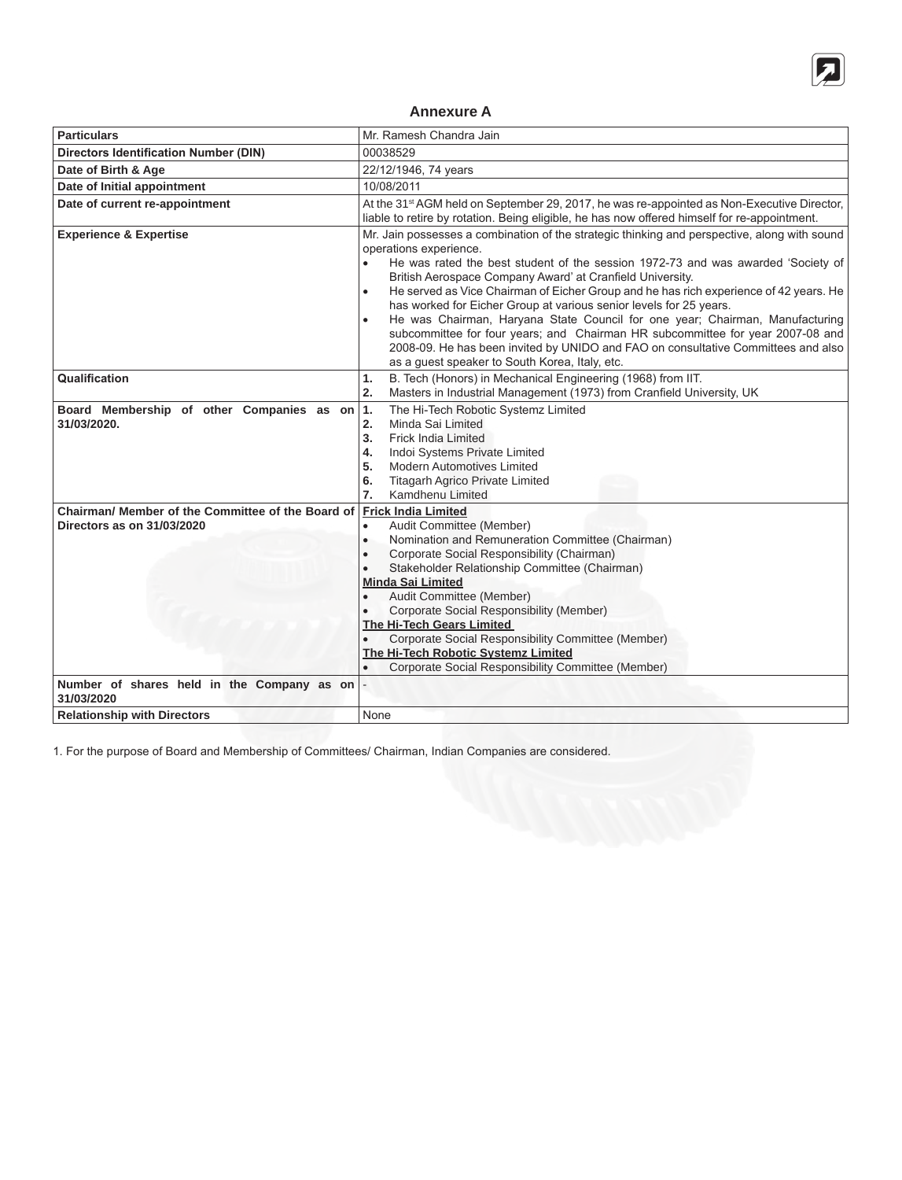

# **Annexure A**

| <b>Particulars</b>                                                              | Mr. Ramesh Chandra Jain                                                                                                                                                                                                                                                                                                                                                                                                                                                                                                                                                                                                                                                                                                                                                   |  |
|---------------------------------------------------------------------------------|---------------------------------------------------------------------------------------------------------------------------------------------------------------------------------------------------------------------------------------------------------------------------------------------------------------------------------------------------------------------------------------------------------------------------------------------------------------------------------------------------------------------------------------------------------------------------------------------------------------------------------------------------------------------------------------------------------------------------------------------------------------------------|--|
| <b>Directors Identification Number (DIN)</b>                                    | 00038529                                                                                                                                                                                                                                                                                                                                                                                                                                                                                                                                                                                                                                                                                                                                                                  |  |
| Date of Birth & Age                                                             | 22/12/1946, 74 years                                                                                                                                                                                                                                                                                                                                                                                                                                                                                                                                                                                                                                                                                                                                                      |  |
| Date of Initial appointment                                                     | 10/08/2011                                                                                                                                                                                                                                                                                                                                                                                                                                                                                                                                                                                                                                                                                                                                                                |  |
| Date of current re-appointment                                                  | At the 31 <sup>st</sup> AGM held on September 29, 2017, he was re-appointed as Non-Executive Director,<br>liable to retire by rotation. Being eligible, he has now offered himself for re-appointment.                                                                                                                                                                                                                                                                                                                                                                                                                                                                                                                                                                    |  |
| <b>Experience &amp; Expertise</b>                                               | Mr. Jain possesses a combination of the strategic thinking and perspective, along with sound<br>operations experience.<br>He was rated the best student of the session 1972-73 and was awarded 'Society of<br>British Aerospace Company Award' at Cranfield University.<br>He served as Vice Chairman of Eicher Group and he has rich experience of 42 years. He<br>$\bullet$<br>has worked for Eicher Group at various senior levels for 25 years.<br>He was Chairman, Haryana State Council for one year; Chairman, Manufacturing<br>$\bullet$<br>subcommittee for four years; and Chairman HR subcommittee for year 2007-08 and<br>2008-09. He has been invited by UNIDO and FAO on consultative Committees and also<br>as a guest speaker to South Korea, Italy, etc. |  |
| Qualification                                                                   | B. Tech (Honors) in Mechanical Engineering (1968) from IIT.<br>1.<br>2.<br>Masters in Industrial Management (1973) from Cranfield University, UK                                                                                                                                                                                                                                                                                                                                                                                                                                                                                                                                                                                                                          |  |
| Board Membership of other Companies as on<br>31/03/2020.                        | The Hi-Tech Robotic Systemz Limited<br> 1.<br>Minda Sai Limited<br>2.<br>3.<br><b>Frick India Limited</b><br>Indoi Systems Private Limited<br>4.<br><b>Modern Automotives Limited</b><br>5.<br>6.<br><b>Titagarh Agrico Private Limited</b><br>7.<br>Kamdhenu Limited                                                                                                                                                                                                                                                                                                                                                                                                                                                                                                     |  |
| Chairman/ Member of the Committee of the Board of<br>Directors as on 31/03/2020 | <b>Frick India Limited</b><br>Audit Committee (Member)<br>$\bullet$<br>Nomination and Remuneration Committee (Chairman)<br>$\bullet$<br>Corporate Social Responsibility (Chairman)<br>$\bullet$<br>Stakeholder Relationship Committee (Chairman)<br>$\bullet$<br><b>Minda Sai Limited</b><br>Audit Committee (Member)<br>Corporate Social Responsibility (Member)<br>The Hi-Tech Gears Limited<br>Corporate Social Responsibility Committee (Member)<br>The Hi-Tech Robotic Systemz Limited<br>Corporate Social Responsibility Committee (Member)                                                                                                                                                                                                                         |  |
| Number of shares held in the Company as on<br>31/03/2020                        |                                                                                                                                                                                                                                                                                                                                                                                                                                                                                                                                                                                                                                                                                                                                                                           |  |
| <b>Relationship with Directors</b>                                              | None                                                                                                                                                                                                                                                                                                                                                                                                                                                                                                                                                                                                                                                                                                                                                                      |  |

1. For the purpose of Board and Membership of Committees/ Chairman, Indian Companies are considered.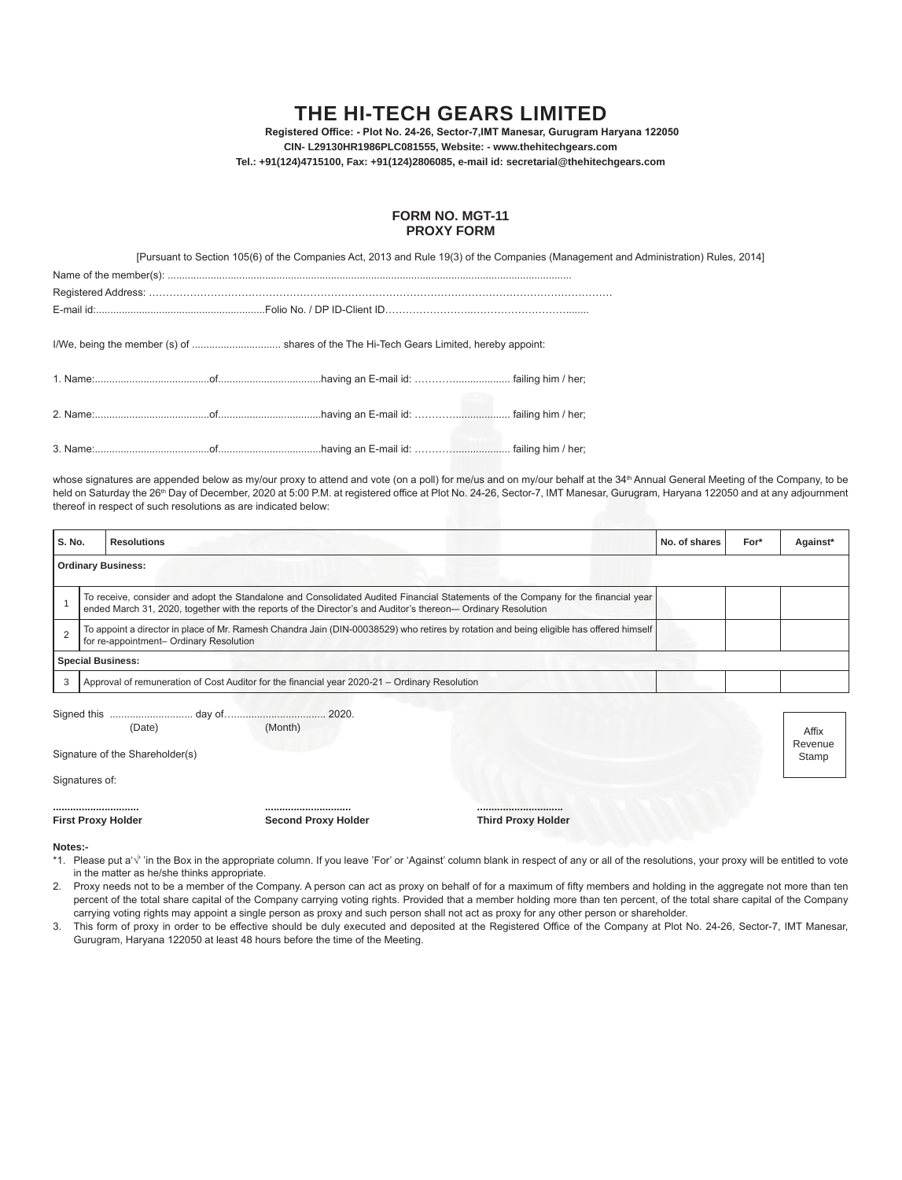# **The Hi-Tech Gears Limited**

 **Registered Office: - Plot No. 24-26, Sector-7,IMT Manesar, Gurugram Haryana 122050 CIN- L29130HR1986PLC081555, Website: - www.thehitechgears.com Tel.: +91(124)4715100, Fax: +91(124)2806085, e-mail id: secretarial@thehitechgears.com**

#### **FORM NO. MGT-11 PROXY FORM**

[Pursuant to Section 105(6) of the Companies Act, 2013 and Rule 19(3) of the Companies (Management and Administration) Rules, 2014]

|  | I/We, being the member (s) of  shares of the The Hi-Tech Gears Limited, hereby appoint: |  |
|--|-----------------------------------------------------------------------------------------|--|
|  |                                                                                         |  |
|  |                                                                                         |  |
|  |                                                                                         |  |
|  |                                                                                         |  |
|  |                                                                                         |  |
|  |                                                                                         |  |
|  |                                                                                         |  |

whose signatures are appended below as my/our proxy to attend and vote (on a poll) for me/us and on my/our behalf at the 34<sup>th</sup> Annual General Meeting of the Company, to be held on Saturday the 26<sup>th</sup> Day of December, 2020 at 5:00 P.M. at registered office at Plot No. 24-26, Sector-7, IMT Manesar, Gurugram, Haryana 122050 and at any adjournment thereof in respect of such resolutions as are indicated below:

| S. No.                          |                                                                                                                                                                                                                                                   | <b>Resolutions</b>            |                                |                               | No. of shares | For* | Against*         |
|---------------------------------|---------------------------------------------------------------------------------------------------------------------------------------------------------------------------------------------------------------------------------------------------|-------------------------------|--------------------------------|-------------------------------|---------------|------|------------------|
|                                 |                                                                                                                                                                                                                                                   | <b>Ordinary Business:</b>     |                                |                               |               |      |                  |
| $\overline{1}$                  | To receive, consider and adopt the Standalone and Consolidated Audited Financial Statements of the Company for the financial year<br>ended March 31, 2020, together with the reports of the Director's and Auditor's thereon- Ordinary Resolution |                               |                                |                               |               |      |                  |
| $\overline{2}$                  | To appoint a director in place of Mr. Ramesh Chandra Jain (DIN-00038529) who retires by rotation and being eligible has offered himself<br>for re-appointment- Ordinary Resolution                                                                |                               |                                |                               |               |      |                  |
|                                 | <b>Special Business:</b>                                                                                                                                                                                                                          |                               |                                |                               |               |      |                  |
| 3                               | Approval of remuneration of Cost Auditor for the financial year 2020-21 - Ordinary Resolution                                                                                                                                                     |                               |                                |                               |               |      |                  |
|                                 |                                                                                                                                                                                                                                                   |                               |                                |                               |               |      |                  |
|                                 |                                                                                                                                                                                                                                                   | (Date)                        | (Month)                        |                               |               |      | Affix<br>Revenue |
| Signature of the Shareholder(s) |                                                                                                                                                                                                                                                   |                               | Stamp                          |                               |               |      |                  |
| Signatures of:                  |                                                                                                                                                                                                                                                   |                               |                                |                               |               |      |                  |
|                                 |                                                                                                                                                                                                                                                   | <br><b>First Proxy Holder</b> | <br><b>Second Proxy Holder</b> | <br><b>Third Proxy Holder</b> |               |      |                  |

**Notes:-**

\*1. Please put a'√' 'in the Box in the appropriate column. If you leave 'For' or 'Against' column blank in respect of any or all of the resolutions, your proxy will be entitled to vote in the matter as he/she thinks appropriate.

2. Proxy needs not to be a member of the Company. A person can act as proxy on behalf of for a maximum of fifty members and holding in the aggregate not more than ten percent of the total share capital of the Company carrying voting rights. Provided that a member holding more than ten percent, of the total share capital of the Company carrying voting rights may appoint a single person as proxy and such person shall not act as proxy for any other person or shareholder.

3. This form of proxy in order to be effective should be duly executed and deposited at the Registered Office of the Company at Plot No. 24-26, Sector-7, IMT Manesar, Gurugram, Haryana 122050 at least 48 hours before the time of the Meeting.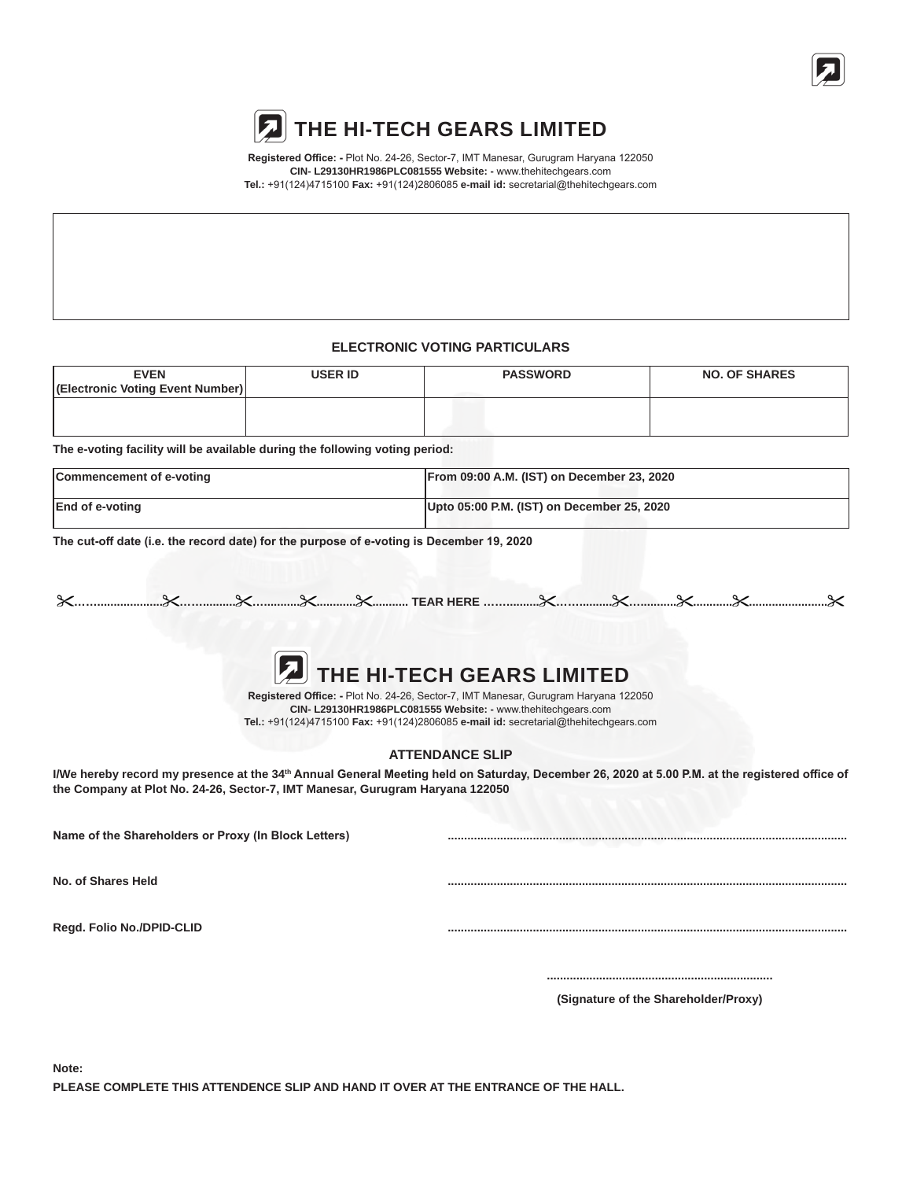

**Registered Office: -** Plot No. 24-26, Sector-7, IMT Manesar, Gurugram Haryana 122050 **CIN- L29130HR1986PLC081555 Website: -** www.thehitechgears.com **Tel.:** +91(124)4715100 **Fax:** +91(124)2806085 **e-mail id:** secretarial@thehitechgears.com

# **ELECTRONIC VOTING PARTICULARS**

| <b>EVEN</b>                      | <b>USER ID</b> | <b>PASSWORD</b> | <b>NO. OF SHARES</b> |
|----------------------------------|----------------|-----------------|----------------------|
| (Electronic Voting Event Number) |                |                 |                      |
|                                  |                |                 |                      |
|                                  |                |                 |                      |

**The e-voting facility will be available during the following voting period:**

| Commencement of e-voting | From 09:00 A.M. (IST) on December 23, 2020 |
|--------------------------|--------------------------------------------|
| <b>End of e-voting</b>   | Upto 05:00 P.M. (IST) on December 25, 2020 |

**The cut-off date (i.e. the record date) for the purpose of e-voting is December 19, 2020**



**Registered Office: -** Plot No. 24-26, Sector-7, IMT Manesar, Gurugram Haryana 122050 **CIN- L29130HR1986PLC081555 Website: -** www.thehitechgears.com **Tel.:** +91(124)4715100 **Fax:** +91(124)2806085 **e-mail id:** secretarial@thehitechgears.com

## **ATTENDANCE SLIP**

I/We hereby record my presence at the 34<sup>th</sup> Annual General Meeting held on Saturday, December 26, 2020 at 5.00 P.M. at the registered office of **the Company at Plot No. 24-26, Sector-7, IMT Manesar, Gurugram Haryana 122050**

**Name of the Shareholders or Proxy (In Block Letters) ..........................................................................................................................**

**No. of Shares Held ..........................................................................................................................**

**Regd. Folio No./DPID-CLID ..........................................................................................................................**

 **.....................................................................**

 **(Signature of the Shareholder/Proxy)**

**Note: PLEASE COMPLETE THIS ATTENDENCE SLIP AND HAND IT OVER AT THE ENTRANCE OF THE HALL.**